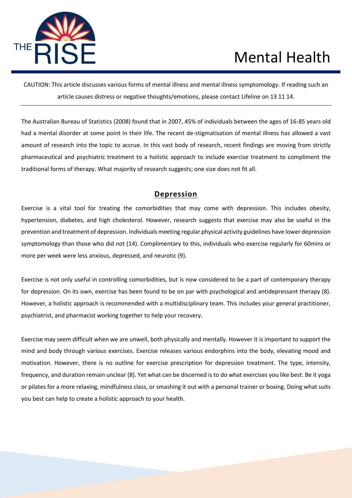

CAUTION: This article discusses various forms of mental illness and mental illness symptomology. If reading such an article causes distress or negative thoughts/emotions, please contact Lifeline on 13 11 14.

The Australian Bureau of Statistics (2008) found that in 2007, 45% of individuals between the ages of 16-85 years old had a mental disorder at some point in their life. The recent de-stigmatisation of mental illness has allowed a vast amount of research into the topic to accrue. In this vast body of research, recent findings are moving from strictly pharmaceutical and psychiatric treatment to a holistic approach to include exercise treatment to compliment the traditional forms of therapy. What majority of research suggests; one size does not fit all.

#### **Depression**

Exercise is a vital tool for treating the comorbidities that may come with depression. This includes obesity, hypertension, diabetes, and high cholesterol. However, research suggests that exercise may also be useful in the prevention and treatment of depression. Individuals meeting regular physical activity guidelines have lower depression symptomology than those who did not (14). Complimentary to this, individuals who exercise regularly for 60mins or more per week were less anxious, depressed, and neurotic (9).

Exercise is not only useful in controlling comorbidities, but is now considered to be a part of contemporary therapy for depression. On its own, exercise has been found to be on par with psychological and antidepressant therapy (8). However, a holistic approach is recommended with a multidisciplinary team. This includes your general practitioner, psychiatrist, and pharmacist working together to help your recovery.

Exercise may seem difficult when we are unwell, both physically and mentally. However it is important to support the mind and body through various exercises. Exercise releases various endorphins into the body, elevating mood and motivation. However, there is no outline for exercise prescription for depression treatment. The type, intensity, frequency, and duration remain unclear (8). Yet what can be discerned is to do what exercises you like best. Be it yoga or pilates for a more relaxing, mindfulness class, or smashing it out with a personal trainer or boxing. Doing what suits you best can help to create a holistic approach to your health.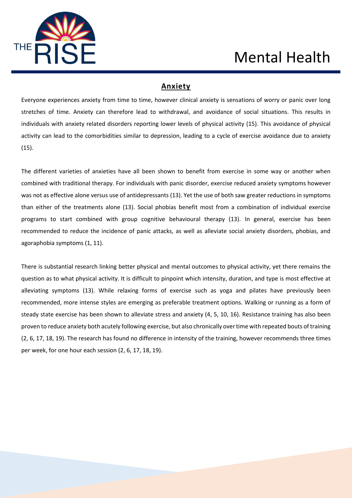

#### **Anxiety**

Everyone experiences anxiety from time to time, however clinical anxiety is sensations of worry or panic over long stretches of time. Anxiety can therefore lead to withdrawal, and avoidance of social situations. This results in individuals with anxiety related disorders reporting lower levels of physical activity (15). This avoidance of physical activity can lead to the comorbidities similar to depression, leading to a cycle of exercise avoidance due to anxiety (15).

The different varieties of anxieties have all been shown to benefit from exercise in some way or another when combined with traditional therapy. For individuals with panic disorder, exercise reduced anxiety symptoms however was not as effective alone versus use of antidepressants (13). Yet the use of both saw greater reductions in symptoms than either of the treatments alone (13). Social phobias benefit most from a combination of individual exercise programs to start combined with group cognitive behavioural therapy (13). In general, exercise has been recommended to reduce the incidence of panic attacks, as well as alleviate social anxiety disorders, phobias, and agoraphobia symptoms (1, 11).

There is substantial research linking better physical and mental outcomes to physical activity, yet there remains the question as to what physical activity. It is difficult to pinpoint which intensity, duration, and type is most effective at alleviating symptoms (13). While relaxing forms of exercise such as yoga and pilates have previously been recommended, more intense styles are emerging as preferable treatment options. Walking or running as a form of steady state exercise has been shown to alleviate stress and anxiety (4, 5, 10, 16). Resistance training has also been proven to reduce anxiety both acutely following exercise, but also chronically over time with repeated bouts of training (2, 6, 17, 18, 19). The research has found no difference in intensity of the training, however recommends three times per week, for one hour each session (2, 6, 17, 18, 19).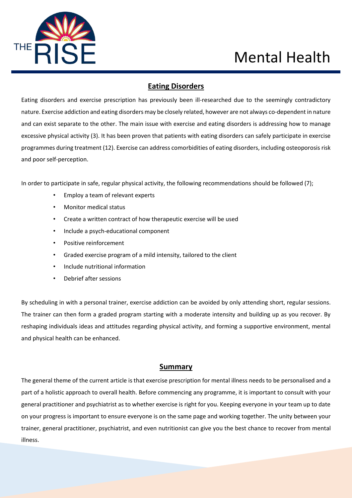

### **Eating Disorders**

Eating disorders and exercise prescription has previously been ill-researched due to the seemingly contradictory nature. Exercise addiction and eating disorders may be closely related, however are not always co-dependent in nature and can exist separate to the other. The main issue with exercise and eating disorders is addressing how to manage excessive physical activity (3). It has been proven that patients with eating disorders can safely participate in exercise programmes during treatment (12). Exercise can address comorbidities of eating disorders, including osteoporosis risk and poor self-perception.

In order to participate in safe, regular physical activity, the following recommendations should be followed (7);

- Employ a team of relevant experts
- Monitor medical status
- Create a written contract of how therapeutic exercise will be used
- Include a psych-educational component
- Positive reinforcement
- Graded exercise program of a mild intensity, tailored to the client
- Include nutritional information
- Debrief after sessions

By scheduling in with a personal trainer, exercise addiction can be avoided by only attending short, regular sessions. The trainer can then form a graded program starting with a moderate intensity and building up as you recover. By reshaping individuals ideas and attitudes regarding physical activity, and forming a supportive environment, mental and physical health can be enhanced.

#### **Summary**

The general theme of the current article is that exercise prescription for mental illness needs to be personalised and a part of a holistic approach to overall health. Before commencing any programme, it is important to consult with your general practitioner and psychiatrist as to whether exercise is right for you. Keeping everyone in your team up to date on your progress is important to ensure everyone is on the same page and working together. The unity between your trainer, general practitioner, psychiatrist, and even nutritionist can give you the best chance to recover from mental illness.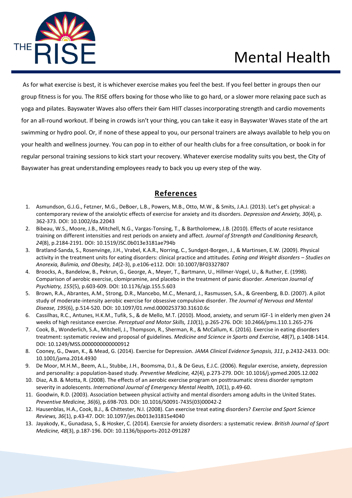

 As for what exercise is best, it is whichever exercise makes you feel the best. If you feel better in groups then our group fitness is for you. The RISE offers boxing for those who like to go hard, or a slower more relaxing pace such as yoga and pilates. Bayswater Waves also offers their 6am HIIT classes incorporating strength and cardio movements for an all-round workout. If being in crowds isn't your thing, you can take it easy in Bayswater Waves state of the art swimming or hydro pool. Or, if none of these appeal to you, our personal trainers are always available to help you on your health and wellness journey. You can pop in to either of our health clubs for a free consultation, or book in for regular personal training sessions to kick start your recovery. Whatever exercise modality suits you best, the City of Bayswater has great understanding employees ready to back you up every step of the way.

#### **References**

- 1. Asmundson, G.J.G., Fetzner, M.G., DeBoer, L.B., Powers, M.B., Otto, M.W., & Smits, J.A.J. (2013). Let's get physical: a contemporary review of the anxiolytic effects of exercise for anxiety and its disorders. *Depression and Anxiety, 30*(4), p. 362-373. DOI: 10.1002/da.22043
- 2. Bibeau, W.S., Moore, J.B., Mitchell, N.G., Vargas-Tonsing, T., & Bartholomew, J.B. (2010). Effects of acute resistance training on different intensities and rest periods on anxiety and affect. *Journal of Strength and Conditioning Research, 24*(8), p.2184-2191. DOI: 10.1519/JSC.0b013e3181ae794b
- 3. Bratland-Sanda, S., Rosenvinge, J.H., Vrabel, K.A.R., Norring, C., Sundgot-Borgen, J., & Martinsen, E.W. (2009). Physical activity in the treatment units for eating disorders: clinical practice and attitudes. *Eating and Weight disorders – Studies on Anorexia, Bulimia, and Obesity, 14*(2-3), p.e106-e112. DOI: 10.1007/BF03327807
- 4. Broocks, A., Bandelow, B., Pekrun, G., George, A., Meyer, T., Bartmann, U., Hillmer-Vogel, U., & Ruther, E. (1998). Comparison of aerobic exercise, clomipramine, and placebo in the treatment of panic disorder. *American Journal of Psychiatry, 155*(5), p.603-609. DOI: 10.1176/ajp.155.5.603
- 5. Brown, R.A., Abrantes, A.M., Strong, D.R., Mancebo, M.C., Menard, J., Rasmussen, S.A., & Greenberg, B.D. (2007). A pilot study of moderate-intensity aerobic exercise for obsessive compulsive disorder. *The Journal of Nervous and Mental Disease, 195*(6), p.514-520. DOI: 10.1097/01.nmd.0000253730.31610.6c
- 6. Cassilhas, R.C., Antunes, H.K.M., Tufik, S., & de Mello, M.T. (2010). Mood, anxiety, and serum IGF-1 in elderly men given 24 weeks of high resistance exercise. *Perceptual and Motor Skills, 110*(1), p.265-276. DOI: 10.2466/pms.110.1.265-276
- 7. Cook, B., Wonderlich, S.A., Mitchell, J., Thompson, R., Sherman, R., & McCallum, K. (2016). Exercise in eating disorders treatment: systematic review and proposal of guidelines. *Medicine and Science in Sports and Exercise, 48*(7), p.1408-1414. DOI: 10.1249/MSS.0000000000000912
- 8. Cooney, G., Dwan, K., & Mead, G. (2014). Exercise for Depression. *JAMA Clinical Evidence Synopsis, 311*, p.2432-2433. DOI: 10.1001/jama.2014.4930
- 9. De Moor, M.H.M., Beem, A.L., Stubbe, J.H., Boomsma, D.I., & De Geus, E.J.C. (2006). Regular exercise, anxiety, depression and personality: a population-based study. *Preventive Medicine, 42*(4), p.273-279. DOI: 10.1016/j.ypmed.2005.12.002
- 10. Diaz, A.B. & Motta, R. (2008). The effects of an aerobic exercise program on posttraumatic stress disorder symptom severity in adolescents. *International Journal of Emergency Mental Health, 10*(1), p.49-60.
- 11. Goodwin, R.D. (2003). Association between physical activity and mental disorders among adults in the United States. *Preventive Medicine, 36*(6), p.698-703. DOI: 10.1016/S0091-7435(03)00042-2
- 12. Hausenblas, H.A., Cook, B.J., & Chittester, N.I. (2008). Can exercise treat eating disorders? *Exercise and Sport Science Reviews, 36*(1), p.43-47. DOI: 10.1097/jes.0b013e31815e4040
- 13. Jayakody, K., Gunadasa, S., & Hosker, C. (2014). Exercsie for anxiety disorders: a systematic review. *British Journal of Sport Medicine, 48*(3), p.187-196. DOI: 10.1136/bjsports-2012-091287